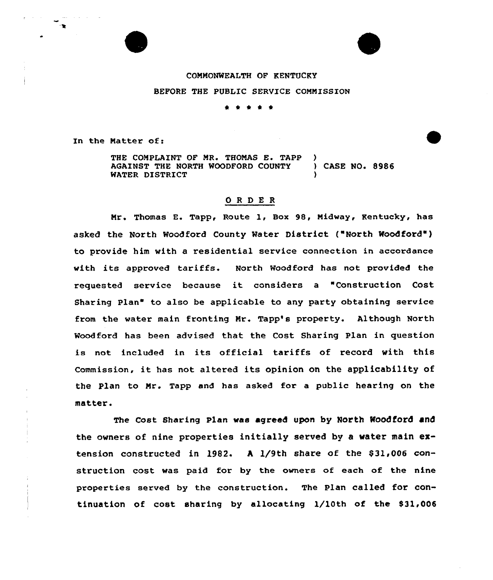l.ne

## COMMONWEALTH OF KENTUCKY BEFORE THE PUBLIC SERVICE COMMISSION

\*

In the Matter of:

THE COMPLAINT OF MR. THOMAS E. TAPP )<br>AGAINST THE NORTH WOODFORD COUNTY ) CASE NO. 8986 AGAINST THE NORTH WOODFORD COUNTY WATER DISTRICT

## ORDER

Mx'. Thomas E. Tapp, Route 1, Box 98, Midway, Kentucky, has asked the North Woodford County Water District ("North Woodford") to provide him with a residential service connection in accordance with its approved tariffs. North Woodford has not provided the xequested service because it considexs <sup>a</sup> "Construction Cost Sharing Plan" to also be applicable to any party obtaining service from the water main fronting Mr. Tapp's property. Although North Woodford has been advised that the Cost Sharing Plan in question is not included in its official tariffs of xecoxd with this Commission, it has not altered its opinion on the applicability of the Plan to Mr. Tapp and has asked for a public hearing on the matter.

The Cost Sharing Plan was agreed upon by North Woodford and the owners of nine properties initially served by a water main extension constructed in 1982. A  $1/9$ th share of the \$31,006 construction cost was paid for by the owners of each of the nine properties served by the construction. The Plan called for continuation of cost sharing by allocating 1/10th of the 831,006